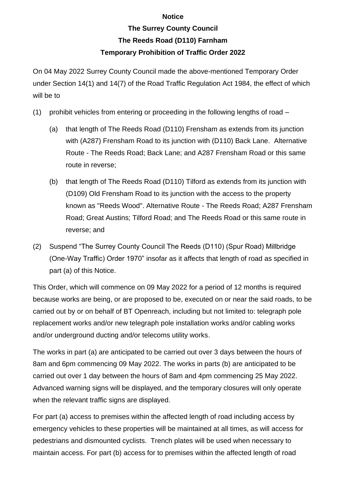## **Notice**

## **The Surrey County Council The Reeds Road (D110) Farnham Temporary Prohibition of Traffic Order 2022**

On 04 May 2022 Surrey County Council made the above-mentioned Temporary Order under Section 14(1) and 14(7) of the Road Traffic Regulation Act 1984, the effect of which will be to

- (1) prohibit vehicles from entering or proceeding in the following lengths of road
	- (a) that length of The Reeds Road (D110) Frensham as extends from its junction with (A287) Frensham Road to its junction with (D110) Back Lane. Alternative Route - The Reeds Road; Back Lane; and A287 Frensham Road or this same route in reverse;
	- (b) that length of The Reeds Road (D110) Tilford as extends from its junction with (D109) Old Frensham Road to its junction with the access to the property known as "Reeds Wood". Alternative Route - The Reeds Road; A287 Frensham Road; Great Austins; Tilford Road; and The Reeds Road or this same route in reverse; and
- (2) Suspend "The Surrey County Council The Reeds (D110) (Spur Road) Millbridge (One-Way Traffic) Order 1970" insofar as it affects that length of road as specified in part (a) of this Notice.

This Order, which will commence on 09 May 2022 for a period of 12 months is required because works are being, or are proposed to be, executed on or near the said roads, to be carried out by or on behalf of BT Openreach, including but not limited to: telegraph pole replacement works and/or new telegraph pole installation works and/or cabling works and/or underground ducting and/or telecoms utility works.

The works in part (a) are anticipated to be carried out over 3 days between the hours of 8am and 6pm commencing 09 May 2022. The works in parts (b) are anticipated to be carried out over 1 day between the hours of 8am and 4pm commencing 25 May 2022. Advanced warning signs will be displayed, and the temporary closures will only operate when the relevant traffic signs are displayed.

For part (a) access to premises within the affected length of road including access by emergency vehicles to these properties will be maintained at all times, as will access for pedestrians and dismounted cyclists. Trench plates will be used when necessary to maintain access. For part (b) access for to premises within the affected length of road